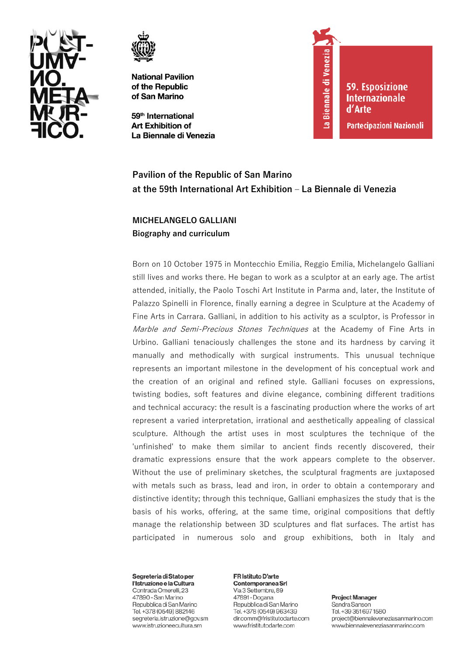



59<sup>th</sup> International **Art Exhibition of** La Biennale di Venezia



**59. Esposizione Internazionale** d'Arte **Partecipazioni Nazionali** 

# **Pavilion of the Republic of San Marino at the 59th International Art Exhibition – La Biennale di Venezia**

# **MICHELANGELO GALLIANI Biography and curriculum**

Born on 10 October 1975 in Montecchio Emilia, Reggio Emilia, Michelangelo Galliani still lives and works there. He began to work as a sculptor at an early age. The artist attended, initially, the Paolo Toschi Art Institute in Parma and, later, the Institute of Palazzo Spinelli in Florence, finally earning a degree in Sculpture at the Academy of Fine Arts in Carrara. Galliani, in addition to his activity as a sculptor, is Professor in Marble and Semi-Precious Stones Techniques at the Academy of Fine Arts in Urbino. Galliani tenaciously challenges the stone and its hardness by carving it manually and methodically with surgical instruments. This unusual technique represents an important milestone in the development of his conceptual work and the creation of an original and refined style. Galliani focuses on expressions, twisting bodies, soft features and divine elegance, combining different traditions and technical accuracy: the result is a fascinating production where the works of art represent a varied interpretation, irrational and aesthetically appealing of classical sculpture. Although the artist uses in most sculptures the technique of the 'unfinished' to make them similar to ancient finds recently discovered, their dramatic expressions ensure that the work appears complete to the observer. Without the use of preliminary sketches, the sculptural fragments are juxtaposed with metals such as brass, lead and iron, in order to obtain a contemporary and distinctive identity; through this technique, Galliani emphasizes the study that is the basis of his works, offering, at the same time, original compositions that deftly manage the relationship between 3D sculptures and flat surfaces. The artist has participated in numerous solo and group exhibitions, both in Italy and

Segreteria di Stato per l'Istruzione e la Cultura Contrada Omerelli, 23 47890 - San Marino Repubblica di San Marino Tel. +378 (0549) 882146 segreteria.istruzione@gov.sm www.istruzioneecultura.sm

FR Istituto D'arte Contemporanea Srl Via 3 Settembre, 89 47891 - Dogana Repubblica di San Marino Tel. +378 (0549) 963439

www.fristitutodarte.com

dir.comm@fristitutodarte.com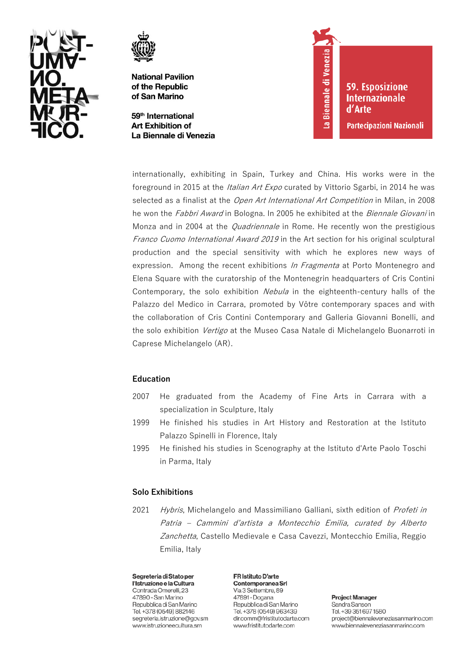



59<sup>th</sup> International **Art Exhibition of** La Biennale di Venezia La Biennale di Venezia

**59. Esposizione Internazionale** d'Arte

Partecipazioni Nazionali

internationally, exhibiting in Spain, Turkey and China. His works were in the foreground in 2015 at the *Italian Art Expo* curated by Vittorio Sgarbi, in 2014 he was selected as a finalist at the Open Art International Art Competition in Milan, in 2008 he won the *Fabbri Award* in Bologna. In 2005 he exhibited at the *Biennale Giovani* in Monza and in 2004 at the *Quadriennale* in Rome. He recently won the prestigious Franco Cuomo International Award 2019 in the Art section for his original sculptural production and the special sensitivity with which he explores new ways of expression. Among the recent exhibitions *In Fragmenta* at Porto Montenegro and Elena Square with the curatorship of the Montenegrin headquarters of Cris Contini Contemporary, the solo exhibition Nebula in the eighteenth-century halls of the Palazzo del Medico in Carrara, promoted by Vôtre contemporary spaces and with the collaboration of Cris Contini Contemporary and Galleria Giovanni Bonelli, and the solo exhibition *Vertigo* at the Museo Casa Natale di Michelangelo Buonarroti in Caprese Michelangelo (AR).

# **Education**

- 2007 He graduated from the Academy of Fine Arts in Carrara with a specialization in Sculpture, Italy
- 1999 He finished his studies in Art History and Restoration at the Istituto Palazzo Spinelli in Florence, Italy
- 1995 He finished his studies in Scenography at the Istituto d'Arte Paolo Toschi in Parma, Italy

# **Solo Exhibitions**

2021 Hybris, Michelangelo and Massimiliano Galliani, sixth edition of Profeti in Patria – Cammini d'artista <sup>a</sup> Montecchio Emilia, curated by Alberto Zanchetta, Castello Medievale e Casa Cavezzi, Montecchio Emilia, Reggio Emilia, Italy

Segreteria di Stato per l'Istruzione e la Cultura Contrada Omerelli, 23 47890 - San Marino Repubblica di San Marino Tel. +378 (0549) 882146 segreteria.istruzione@gov.sm www.istruzioneecultura.sm

FR Istituto D'arte Contemporanea Srl Via 3 Settembre, 89 47891 - Dogana Repubblica di San Marino Tel. +378 (0549) 963439 dir.comm@fristitutodarte.com www.fristitutodarte.com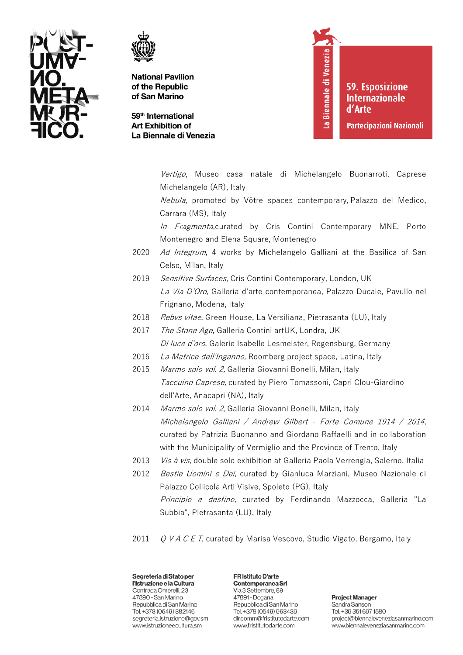



59<sup>th</sup> International **Art Exhibition of** La Biennale di Venezia La Biennale di Venezia

**59. Esposizione Internazionale** d'Arte

**Partecipazioni Nazionali** 

Vertigo, Museo casa natale di Michelangelo Buonarroti, Caprese Michelangelo (AR), Italy

Nebula, promoted by Vôtre spaces contemporary, Palazzo del Medico, Carrara (MS), Italy

In Fragmenta,curated by Cris Contini Contemporary MNE, Porto Montenegro and Elena Square, Montenegro

- 2020 Ad Integrum, 4 works by Michelangelo Galliani at the Basilica of San Celso, Milan, Italy
- 2019 Sensitive Surfaces, Cris Contini Contemporary, London, UK *La Via D'Oro,* Galleria d'arte contemporanea, Palazzo Ducale, Pavullo nel Frignano, Modena, Italy
- 2018 Rebvs vitae, Green House, La Versiliana, Pietrasanta (LU), Italy
- 2017 The Stone Age, Galleria Contini artUK, Londra, UK Di luce d'oro, Galerie Isabelle Lesmeister, Regensburg, Germany
- 2016 La Matrice dell'Inganno, Roomberg project space, Latina, Italy
- 2015 Marmo solo vol. 2, Galleria Giovanni Bonelli, Milan, Italy Taccuino Caprese, curated by Piero Tomassoni, Capri Clou-Giardino dell'Arte, Anacapri (NA), Italy
- 2014 Marmo solo vol. 2, Galleria Giovanni Bonelli, Milan, Italy Michelangelo Galliani / Andrew Gilbert - Forte Comune 1914 / 2014, curated by Patrizia Buonanno and Giordano Raffaelli and in collaboration with the Municipality of Vermiglio and the Province of Trento, Italy
- 2013 *Vis à vis*, double solo exhibition at Galleria Paola Verrengia, Salerno, Italia
- 2012 Bestie Uomini e Dei, curated by Gianluca Marziani, Museo Nazionale di Palazzo Collicola Arti Visive, Spoleto (PG), Italy Principio e destino, curated by Ferdinando Mazzocca, Galleria "La Subbia", Pietrasanta (LU), Italy
- 2011  $Q$  V A C E T, curated by Marisa Vescovo, Studio Vigato, Bergamo, Italy

Segreteria di Stato per l'Istruzione e la Cultura Contrada Omerelli, 23 47890 - San Marino Repubblica di San Marino Tel. +378 (0549) 882146 segreteria.istruzione@gov.sm www.istruzioneecultura.sm

FR Istituto D'arte Contemporanea Srl Via 3 Settembre, 89 47891 - Dogana Repubblica di San Marino Tel. +378 (0549) 963439 dir.comm@fristitutodarte.com www.fristitutodarte.com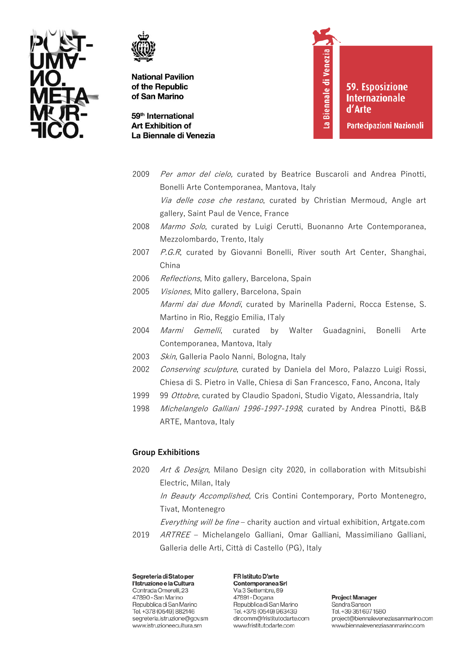



59<sup>th</sup> International **Art Exhibition of** La Biennale di Venezia La Biennale di Venezia

**59. Esposizione Internazionale** d'Arte

**Partecipazioni Nazionali** 

- 2009 Per amor del cielo, curated by Beatrice Buscaroli and Andrea Pinotti, Bonelli Arte Contemporanea, Mantova, Italy Via delle cose che restano, curated by Christian Mermoud, Angle art gallery, Saint Paul de Vence, France 2008 Marmo Solo, curated by Luigi Cerutti, Buonanno Arte Contemporanea, Mezzolombardo, Trento, Italy
- 2007 P.G.R, curated by Giovanni Bonelli, River south Art Center, Shanghai, China
- 2006 Reflections, Mito gallery, Barcelona, Spain
- 2005 Visiones, Mito gallery, Barcelona, Spain Marmi dai due Mondi, curated by Marinella Paderni, Rocca Estense, S. Martino in Rio, Reggio Emilia, ITaly
- 2004 Marmi Gemelli, curated by Walter Guadagnini, Bonelli Arte Contemporanea, Mantova, Italy
- 2003 Skin, Galleria Paolo Nanni, Bologna, Italy
- 2002 Conserving sculpture, curated by Daniela del Moro, Palazzo Luigi Rossi, Chiesa di S. Pietro in Valle, Chiesa di San Francesco, Fano, Ancona, Italy
- 1999 99 Ottobre, curated by Claudio Spadoni, Studio Vigato, Alessandria, Italy
- 1998 Michelangelo Galliani 1996-1997-1998, curated by Andrea Pinotti, B&B ARTE, Mantova, Italy

# **Group Exhibitions**

- 2020 Art & Design, Milano Design city 2020, in collaboration with Mitsubishi Electric, Milan, Italy In Beauty Accomplished, Cris Contini Contemporary, Porto Montenegro, Tivat, Montenegro
	- Everything will be fine charity auction and virtual exhibition, Artgate.com
- 2019 ARTREE Michelangelo Galliani, Omar Galliani, Massimiliano Galliani, Galleria delle Arti, Città di Castello (PG), Italy

Segreteria di Stato per l'Istruzione e la Cultura Contrada Omerelli, 23 47890 - San Marino Repubblica di San Marino Tel. +378 (0549) 882146 segreteria.istruzione@gov.sm www.istruzioneecultura.sm

FR Istituto D'arte Contemporanea Srl Via 3 Settembre, 89 47891 - Dogana Repubblica di San Marino Tel. +378 (0549) 963439 dir.comm@fristitutodarte.com www.fristitutodarte.com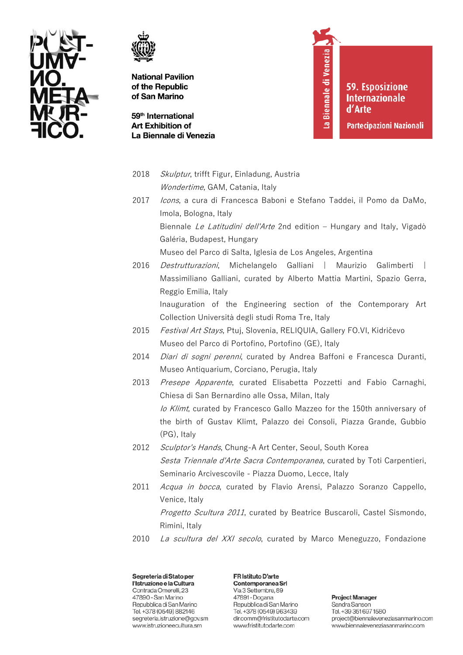



59<sup>th</sup> International **Art Exhibition of** La Biennale di Venezia La Biennale di Venezia

**59. Esposizione Internazionale** d'Arte

**Partecipazioni Nazionali** 

- 2018 Skulptur, trifft Figur, Einladung, Austria Wondertime, GAM, Catania, Italy
- 2017 *Icons*, a cura di Francesca Baboni e Stefano Taddei, il Pomo da DaMo, Imola, Bologna, Italy

Biennale Le Latitudini dell'Arte 2nd edition - Hungary and Italy, Vigadò Galéria, Budapest, Hungary

Museo del Parco di Salta, Iglesia de Los Angeles, Argentina

- 2016 *Destrutturazioni*, Michelangelo Galliani | Maurizio Galimberti | Massimiliano Galliani, curated by Alberto Mattia Martini, Spazio Gerra, Reggio Emilia, Italy Inauguration of the Engineering section of the Contemporary Art Collection Università degli studi Roma Tre, Italy
- 2015 Festival Art Stays, Ptuj, Slovenia, RELIQUIA, Gallery FO.VI, Kidričevo Museo del Parco di Portofino, Portofino (GE), Italy
- 2014 *Diari di sogni perenni*, curated by Andrea Baffoni e Francesca Duranti, Museo Antiquarium, Corciano, Perugia, Italy
- 2013 Presepe Apparente, curated Elisabetta Pozzetti and Fabio Carnaghi, Chiesa di San Bernardino alle Ossa, Milan, Italy Io Klimt, curated by Francesco Gallo Mazzeo for the 150th anniversary of the birth of Gustav Klimt, Palazzo dei Consoli, Piazza Grande, Gubbio (PG), Italy
- 2012 Sculptor's Hands, Chung-A Art Center, Seoul, South Korea Sesta Triennale d'Arte Sacra Contemporanea, curated by Toti Carpentieri, Seminario Arcivescovile - Piazza Duomo, Lecce, Italy
- 2011 Acqua in bocca, curated by Flavio Arensi, Palazzo Soranzo Cappello, Venice, Italy Progetto Scultura 2011, curated by Beatrice Buscaroli, Castel Sismondo, Rimini, Italy
- 2010 La scultura del XXI secolo, curated by Marco Meneguzzo, Fondazione

Segreteria di Stato per l'Istruzione e la Cultura Contrada Omerelli, 23 47890 - San Marino Repubblica di San Marino Tel. +378 (0549) 882146 segreteria.istruzione@gov.sm www.istruzioneecultura.sm

FR Istituto D'arte Contemporanea Srl Via 3 Settembre, 89 47891 - Dogana Repubblica di San Marino Tel. +378 (0549) 963439 dir.comm@fristitutodarte.com www.fristitutodarte.com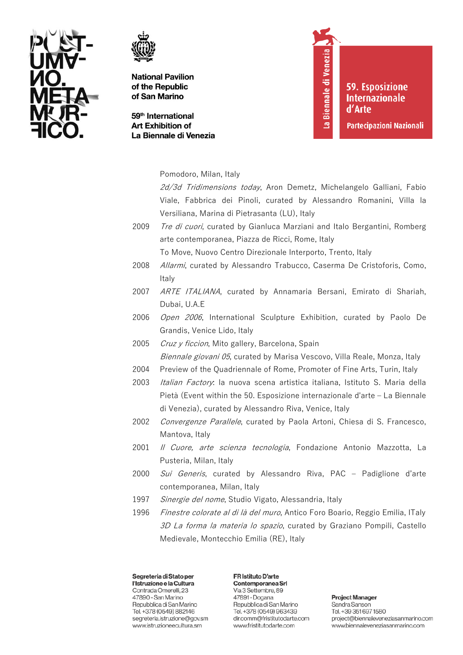



59<sup>th</sup> International **Art Exhibition of** La Biennale di Venezia La Biennale di Venezia

**59. Esposizione Internazionale** d'Arte

**Partecipazioni Nazionali** 

Pomodoro, Milan, Italy

2d/3d Tridimensions today, Aron Demetz, Michelangelo Galliani, Fabio Viale, Fabbrica dei Pinoli, curated by Alessandro Romanini, Villa la Versiliana, Marina di Pietrasanta (LU), Italy

2009 Tre di cuori, curated by Gianluca Marziani and Italo Bergantini, Romberg arte contemporanea, Piazza de Ricci, Rome, Italy To Move, Nuovo Centro Direzionale Interporto, Trento, Italy

- 2008 Allarmi, curated by Alessandro Trabucco, Caserma De Cristoforis, Como, **Italy**
- 2007 ARTE ITALIANA, curated by Annamaria Bersani, Emirato di Shariah, Dubai, U.A.E
- 2006 Open 2006, International Sculpture Exhibition, curated by Paolo De Grandis, Venice Lido, Italy
- 2005 Cruz y ficcion, Mito gallery, Barcelona, Spain *Biennale giovani 05*, curated by Marisa Vescovo, Villa Reale, Monza, Italy
- 2004 Preview of the Quadriennale of Rome, Promoter of Fine Arts, Turin, Italy
- 2003 *Italian Factory*: la nuova scena artistica italiana, Istituto S. Maria della Pietà (Event within the 50. Esposizione internazionale d'arte – La Biennale di Venezia), curated by Alessandro Riva, Venice, Italy
- 2002 Convergenze Parallele, curated by Paola Artoni, Chiesa di S. Francesco, Mantova, Italy
- 2001 *Il Cuore, arte scienza tecnologia*, Fondazione Antonio Mazzotta, La Pusteria, Milan, Italy
- 2000 Sui Generis, curated by Alessandro Riva, PAC Padiglione d'arte contemporanea, Milan, Italy
- 1997 Sinergie del nome, Studio Vigato, Alessandria, Italy
- 1996 *Finestre colorate al di là del muro*, Antico Foro Boario, Reggio Emilia, ITaly 3D La forma la materia lo spazio, curated by Graziano Pompili, Castello Medievale, Montecchio Emilia (RE), Italy

Segreteria di Stato per l'Istruzione e la Cultura Contrada Omerelli, 23 47890 - San Marino Repubblica di San Marino Tel. +378 (0549) 882146 segreteria.istruzione@gov.sm www.istruzioneecultura.sm

FR Istituto D'arte Contemporanea Srl Via 3 Settembre, 89 47891 - Dogana Repubblica di San Marino Tel. +378 (0549) 963439 dir.comm@fristitutodarte.com www.fristitutodarte.com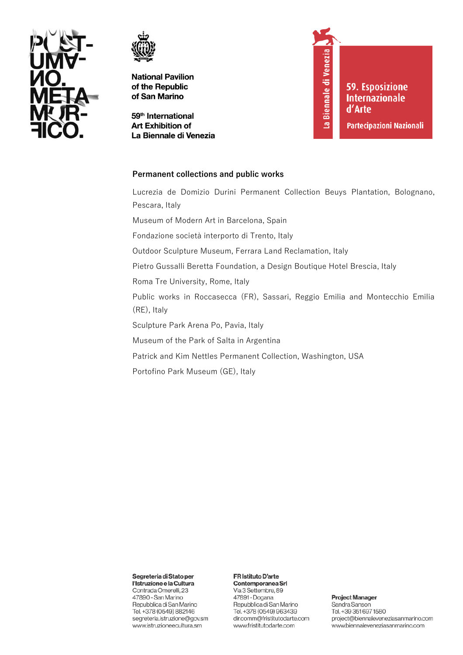



59<sup>th</sup> International **Art Exhibition of** La Biennale di Venezia La Biennale di Venezia 59. Esposizione **Internazionale** d'Arte

Partecipazioni Nazionali

### Permanent collections and public works

Lucrezia de Domizio Durini Permanent Collection Beuys Plantation, Bolognano, Pescara, Italy Museum of Modern Art in Barcelona, Spain Fondazione società interporto di Trento, Italy Outdoor Sculpture Museum, Ferrara Land Reclamation, Italy Pietro Gussalli Beretta Foundation, a Design Boutique Hotel Brescia, Italy Roma Tre University, Rome, Italy Public works in Roccasecca (FR), Sassari, Reggio Emilia and Montecchio Emilia (RE), Italy Sculpture Park Arena Po, Pavia, Italy Museum of the Park of Salta in Argentina Patrick and Kim Nettles Permanent Collection, Washington, USA Portofino Park Museum (GE), Italy

Segreteria di Stato per

l'Istruzione e la Cultura Contrada Omerelli, 23 47890 - San Marino Repubblica di San Marino Tel. +378 (0549) 882146 segreteria.istruzione@gov.sm www.istruzioneecultura.sm

#### FR Istituto D'arte

Contemporanea Srl Via 3 Settembre, 89 47891 - Dogana Repubblica di San Marino Tel. +378 (0549) 963439 dir.comm@fristitutodarte.com www.fristitutodarte.com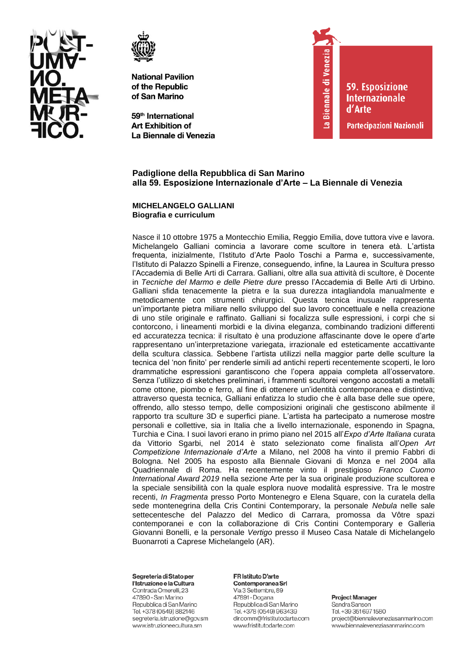



59<sup>th</sup> International **Art Exhibition of** La Biennale di Venezia



**59. Esposizione Internazionale** d'Arte

Partecipazioni Nazionali

# Padiglione della Repubblica di San Marino alla 59. Esposizione Internazionale d'Arte - La Biennale di Venezia

### **MICHELANGELO GALLIANI** Biografia e curriculum

Nasce il 10 ottobre 1975 a Montecchio Emilia, Reggio Emilia, dove tuttora vive e lavora. Michelangelo Galliani comincia a lavorare come scultore in tenera età. L'artista frequenta, inizialmente, l'Istituto d'Arte Paolo Toschi a Parma e, successivamente, l'Istituto di Palazzo Spinelli a Firenze, conseguendo, infine, la Laurea in Scultura presso l'Accademia di Belle Arti di Carrara. Galliani, oltre alla sua attività di scultore, è Docente in Tecniche del Marmo e delle Pietre dure presso l'Accademia di Belle Arti di Urbino. Galliani sfida tenacemente la pietra e la sua durezza intagliandola manualmente e metodicamente con strumenti chirurgici. Questa tecnica inusuale rappresenta un'importante pietra miliare nello sviluppo del suo lavoro concettuale e nella creazione di uno stile originale e raffinato. Galliani si focalizza sulle espressioni, i corpi che si contorcono, i lineamenti morbidi e la divina eleganza, combinando tradizioni differenti ed accuratezza tecnica: il risultato è una produzione affascinante dove le opere d'arte rappresentano un'interpretazione variegata, irrazionale ed esteticamente accattivante della scultura classica. Sebbene l'artista utilizzi nella maggior parte delle sculture la tecnica del 'non finito' per renderle simili ad antichi reperti recentemente scoperti, le loro drammatiche espressioni garantiscono che l'opera appaia completa all'osservatore. Senza l'utilizzo di sketches preliminari, i frammenti scultorei vengono accostati a metalli come ottone, piombo e ferro, al fine di ottenere un'identità contemporanea e distintiva; attraverso questa tecnica, Galliani enfatizza lo studio che è alla base delle sue opere, offrendo, allo stesso tempo, delle composizioni originali che gestiscono abilmente il rapporto tra sculture 3D e superfici piane. L'artista ha partecipato a numerose mostre personali e collettive, sia in Italia che a livello internazionale, esponendo in Spagna, Turchia e Cina. I suoi lavori erano in primo piano nel 2015 all'Expo d'Arte Italiana curata da Vittorio Sgarbi, nel 2014 è stato selezionato come finalista all'Open Art Competizione Internazionale d'Arte a Milano, nel 2008 ha vinto il premio Fabbri di Bologna. Nel 2005 ha esposto alla Biennale Giovani di Monza e nel 2004 alla Quadriennale di Roma. Ha recentemente vinto il prestigioso Franco Cuomo International Award 2019 nella sezione Arte per la sua originale produzione scultorea e la speciale sensibilità con la quale esplora nuove modalità espressive. Tra le mostre recenti, In Fragmenta presso Porto Montenegro e Elena Square, con la curatela della sede montenegrina della Cris Contini Contemporary, la personale Nebula nelle sale settecentesche del Palazzo del Medico di Carrara, promossa da Vôtre spazi contemporanei e con la collaborazione di Cris Contini Contemporary e Galleria Giovanni Bonelli, e la personale Vertigo presso il Museo Casa Natale di Michelangelo Buonarroti a Caprese Michelangelo (AR).

#### Segreteria di Stato per

l'Istruzione e la Cultura Contrada Omerelli, 23 47890 - San Marino Repubblica di San Marino Tel. +378 (0549) 882146 segreteria.istruzione@gov.sm www.istruzioneecultura.sm

#### FR Istituto D'arte Contemporanea Srl

Via 3 Settembre, 89 47891 - Dogana Repubblica di San Marino Tel. +378 (0549) 963439 dir.comm@fristitutodarte.com www.fristitutodarte.com

#### **Project Manager** Sandra Sanson

Tel. +39 351 697 1580 project@biennaleveneziasanmarino.com www.biennaleveneziasanmarino.com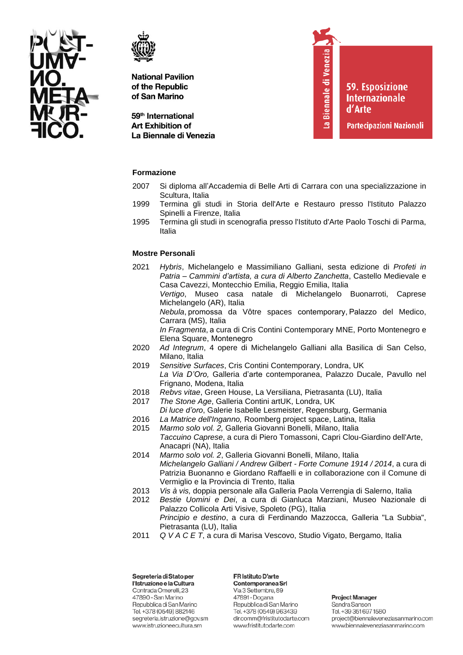



59<sup>th</sup> International **Art Exhibition of** La Biennale di Venezia La Biennale di Venezia

**59. Esposizione Internazionale** d'Arte

Partecipazioni Nazionali

### **Formazione**

- 2007 Si diploma all'Accademia di Belle Arti di Carrara con una specializzazione in Scultura, Italia
- 1999 Termina gli studi in Storia dell'Arte e Restauro presso l'Istituto Palazzo Spinelli a Firenze, Italia
- 1995 Termina gli studi in scenografia presso l'Istituto d'Arte Paolo Toschi di Parma, Italia

### **Mostre Personali**

- 2021 *Hybris*, Michelangelo e Massimiliano Galliani, sesta edizione di *Profeti in Patria – Cammini d'artista, a cura di Alberto Zanchetta*, Castello Medievale e Casa Cavezzi, Montecchio Emilia, Reggio Emilia, Italia *Vertigo*, Museo casa natale di Michelangelo Buonarroti, Caprese Michelangelo (AR), Italia *Nebula*, promossa da Vôtre spaces contemporary, Palazzo del Medico, Carrara (MS), Italia *In Fragmenta*, a cura di Cris Contini Contemporary MNE, Porto Montenegro e Elena Square, Montenegro  2020 *Ad Integrum*, 4 opere di Michelangelo Galliani alla Basilica di San Celso, Milano, Italia 2019 *Sensitive Surfaces*, Cris Contini Contemporary, Londra, UK *La Via D'Oro,* Galleria d'arte contemporanea, Palazzo Ducale, Pavullo nel Frignano, Modena, Italia 2018 *Rebvs vitae*, Green House, La Versiliana, Pietrasanta (LU), Italia 2017 *The Stone Age*, Galleria Contini artUK, Londra, UK *Di luce d'oro*, Galerie Isabelle Lesmeister, Regensburg, Germania
- 2016 *La Matrice dell'Inganno,* Roomberg project space, Latina, Italia
- 2015 *Marmo solo vol. 2,* Galleria Giovanni Bonelli, Milano, Italia *Taccuino Caprese*, a cura di Piero Tomassoni, Capri Clou-Giardino dell'Arte, Anacapri (NA), Italia
- 2014 *Marmo solo vol. 2*, Galleria Giovanni Bonelli, Milano, Italia *Michelangelo Galliani / Andrew Gilbert - Forte Comune 1914 / 2014*, a cura di Patrizia Buonanno e Giordano Raffaelli e in collaborazione con il Comune di Vermiglio e la Provincia di Trento, Italia
- 2013 *Vis à vis,* doppia personale alla Galleria Paola Verrengia di Salerno, Italia
- 2012 *Bestie Uomini e Dei*, a cura di Gianluca Marziani, Museo Nazionale di Palazzo Collicola Arti Visive, Spoleto (PG), Italia *Principio e destino*, a cura di Ferdinando Mazzocca, Galleria "La Subbia", Pietrasanta (LU), Italia
- 2011 *Q V A C E T*, a cura di Marisa Vescovo, Studio Vigato, Bergamo, Italia

Segreteria di Stato per l'Istruzione e la Cultura Contrada Omerelli, 23 47890 - San Marino Repubblica di San Marino Tel. +378 (0549) 882146 segreteria.istruzione@gov.sm www.istruzioneecultura.sm

FR Istituto D'arte Contemporanea Srl Via 3 Settembre, 89 47891 - Dogana Repubblica di San Marino Tel. +378 (0549) 963439 dir.comm@fristitutodarte.com www.fristitutodarte.com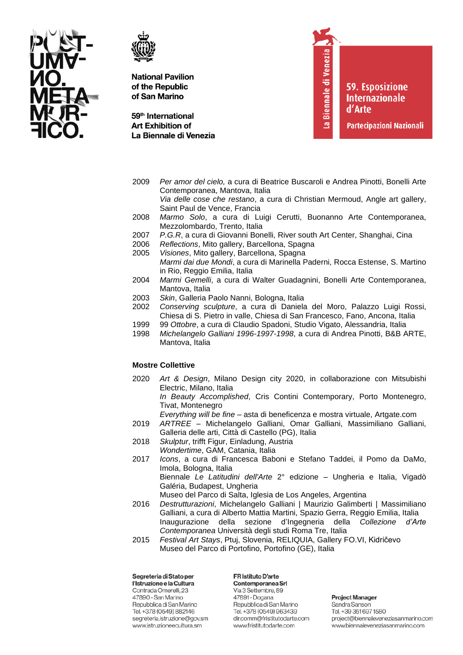



59<sup>th</sup> International **Art Exhibition of** La Biennale di Venezia La Biennale di Venezia

**59. Esposizione Internazionale** d'Arte

Partecipazioni Nazionali

- 2009 *Per amor del cielo,* a cura di Beatrice Buscaroli e Andrea Pinotti, Bonelli Arte Contemporanea, Mantova, Italia *Via delle cose che restano*, a cura di Christian Mermoud, Angle art gallery, Saint Paul de Vence, Francia 2008 *Marmo Solo*, a cura di Luigi Cerutti, Buonanno Arte Contemporanea,
- Mezzolombardo, Trento, Italia
- 2007 *P.G.R*, a cura di Giovanni Bonelli, River south Art Center, Shanghai, Cina
- 2006 *Reflections*, Mito gallery, Barcellona, Spagna
- 2005 *Visiones*, Mito gallery, Barcellona, Spagna *Marmi dai due Mondi*, a cura di Marinella Paderni, Rocca Estense, S. Martino in Rio, Reggio Emilia, Italia
- 2004 *Marmi Gemelli*, a cura di Walter Guadagnini, Bonelli Arte Contemporanea, Mantova, Italia
- 2003 *Skin*, Galleria Paolo Nanni, Bologna, Italia
- 2002 *Conserving sculpture*, a cura di Daniela del Moro, Palazzo Luigi Rossi, Chiesa di S. Pietro in valle, Chiesa di San Francesco, Fano, Ancona, Italia
- 1999 99 *Ottobre*, a cura di Claudio Spadoni, Studio Vigato, Alessandria, Italia
- 1998 *Michelangelo Galliani 1996-1997-1998*, a cura di Andrea Pinotti, B&B ARTE, Mantova, Italia

# **Mostre Collettive**

2020 *Art & Design*, Milano Design city 2020, in collaborazione con Mitsubishi Electric, Milano, Italia *In Beauty Accomplished*, Cris Contini Contemporary, Porto Montenegro,

Tivat, Montenegro

*Everything will be fine* – asta di beneficenza e mostra virtuale, Artgate.com

- 2019 *ARTREE* Michelangelo Galliani, Omar Galliani, Massimiliano Galliani, Galleria delle arti, Città di Castello (PG), Italia
- 2018 *Skulptur*, trifft Figur, Einladung, Austria
- *Wondertime*, GAM, Catania, Italia
- 2017 *Icons*, a cura di Francesca Baboni e Stefano Taddei, il Pomo da DaMo, Imola, Bologna, Italia Biennale *Le Latitudini dell'Arte* 2° edizione – Ungheria e Italia, Vigadò Galéria, Budapest, Ungheria Museo del Parco di Salta, Iglesia de Los Angeles, Argentina
- 2016 *Destrutturazioni*, Michelangelo Galliani | Maurizio Galimberti | Massimiliano Galliani, a cura di Alberto Mattia Martini, Spazio Gerra, Reggio Emilia, Italia Inaugurazione della sezione d'Ingegneria della *Collezione d'Arte Contemporanea* Università degli studi Roma Tre, Italia
- 2015 *Festival Art Stays*, Ptuj, Slovenia, RELIQUIA, Gallery FO.VI, Kidričevo Museo del Parco di Portofino, Portofino (GE), Italia

Segreteria di Stato per l'Istruzione e la Cultura Contrada Omerelli, 23 47890 - San Marino Repubblica di San Marino Tel. +378 (0549) 882146 segreteria.istruzione@gov.sm www.istruzioneecultura.sm

FR Istituto D'arte Contemporanea Srl Via 3 Settembre, 89 47891 - Dogana Repubblica di San Marino Tel. +378 (0549) 963439 dir.comm@fristitutodarte.com www.fristitutodarte.com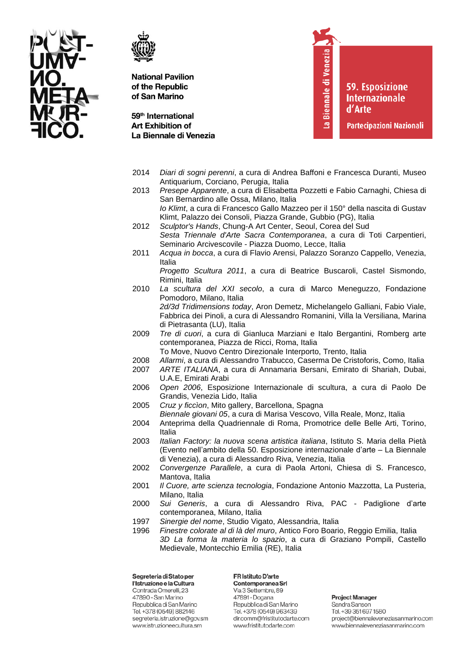



59<sup>th</sup> International **Art Exhibition of** La Biennale di Venezia La Biennale di Venezia

**59. Esposizione Internazionale** d'Arte

Partecipazioni Nazionali

- 2014 *Diari di sogni perenni*, a cura di Andrea Baffoni e Francesca Duranti, Museo Antiquarium, Corciano, Perugia, Italia
- 2013 *Presepe Apparente*, a cura di Elisabetta Pozzetti e Fabio Carnaghi, Chiesa di San Bernardino alle Ossa, Milano, Italia *Io Klimt*, a cura di Francesco Gallo Mazzeo per il 150° della nascita di Gustav Klimt, Palazzo dei Consoli, Piazza Grande, Gubbio (PG), Italia
- 2012 *Sculptor's Hands*, Chung-A Art Center, Seoul, Corea del Sud *Sesta Triennale d'Arte Sacra Contemporanea*, a cura di Toti Carpentieri, Seminario Arcivescovile - Piazza Duomo, Lecce, Italia
- 2011 *Acqua in bocca*, a cura di Flavio Arensi, Palazzo Soranzo Cappello, Venezia, Italia
	- *Progetto Scultura 2011*, a cura di Beatrice Buscaroli, Castel Sismondo, Rimini, Italia
- 2010 *La scultura del XXI secolo*, a cura di Marco Meneguzzo, Fondazione Pomodoro, Milano, Italia *2d/3d Tridimensions today*, Aron Demetz, Michelangelo Galliani, Fabio Viale, Fabbrica dei Pinoli, a cura di Alessandro Romanini, Villa la Versiliana, Marina di Pietrasanta (LU), Italia
- 2009 *Tre di cuori*, a cura di Gianluca Marziani e Italo Bergantini, Romberg arte contemporanea, Piazza de Ricci, Roma, Italia
- To Move, Nuovo Centro Direzionale Interporto, Trento, Italia
- 2008 *Allarmi*, a cura di Alessandro Trabucco, Caserma De Cristoforis, Como, Italia 2007 *ARTE ITALIANA*, a cura di Annamaria Bersani, Emirato di Shariah, Dubai,
	- U.A.E, Emirati Arabi
- 2006 *Open 2006*, Esposizione Internazionale di scultura, a cura di Paolo De Grandis, Venezia Lido, Italia
- 2005 *Cruz y ficcìon*, Mito gallery, Barcellona, Spagna
- *Biennale giovani 05*, a cura di Marisa Vescovo, Villa Reale, Monz, Italia
- 2004 Anteprima della Quadriennale di Roma, Promotrice delle Belle Arti, Torino, Italia
- 2003 *Italian Factory: la nuova scena artistica italiana*, Istituto S. Maria della Pietà (Evento nell'ambito della 50. Esposizione internazionale d'arte – La Biennale di Venezia), a cura di Alessandro Riva, Venezia, Italia
- 2002 *Convergenze Parallele*, a cura di Paola Artoni, Chiesa di S. Francesco, Mantova, Italia
- 2001 *Il Cuore, arte scienza tecnologia*, Fondazione Antonio Mazzotta, La Pusteria, Milano, Italia
- 2000 *Sui Generis*, a cura di Alessandro Riva, PAC Padiglione d'arte contemporanea, Milano, Italia
- 1997 *Sinergie del nome*, Studio Vigato, Alessandria, Italia
- 1996 *Finestre colorate al di là del muro*, Antico Foro Boario, Reggio Emilia, Italia *3D La forma la materia lo spazio*, a cura di Graziano Pompili, Castello Medievale, Montecchio Emilia (RE), Italia

Segreteria di Stato per l'Istruzione e la Cultura Contrada Omerelli, 23 47890 - San Marino Repubblica di San Marino Tel. +378 (0549) 882146 segreteria.istruzione@gov.sm www.istruzioneecultura.sm

FR Istituto D'arte Contemporanea Srl Via 3 Settembre, 89 47891 - Dogana Repubblica di San Marino Tel. +378 (0549) 963439 dir.comm@fristitutodarte.com www.fristitutodarte.com